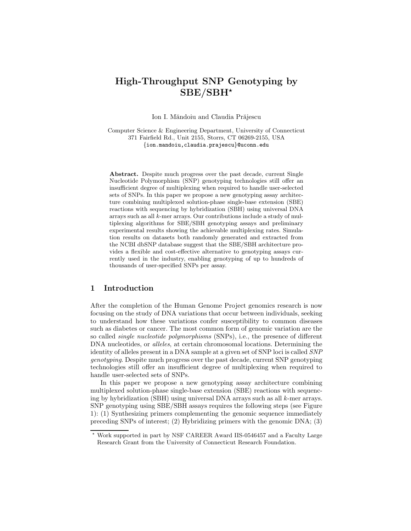# High-Throughput SNP Genotyping by SBE/SBH?

Ion I. Măndoiu and Claudia Prăjescu

Computer Science & Engineering Department, University of Connecticut 371 Fairfield Rd., Unit 2155, Storrs, CT 06269-2155, USA {ion.mandoiu,claudia.prajescu}@uconn.edu

Abstract. Despite much progress over the past decade, current Single Nucleotide Polymorphism (SNP) genotyping technologies still offer an insufficient degree of multiplexing when required to handle user-selected sets of SNPs. In this paper we propose a new genotyping assay architecture combining multiplexed solution-phase single-base extension (SBE) reactions with sequencing by hybridization (SBH) using universal DNA arrays such as all k-mer arrays. Our contributions include a study of multiplexing algorithms for SBE/SBH genotyping assays and preliminary experimental results showing the achievable multiplexing rates. Simulation results on datasets both randomly generated and extracted from the NCBI dbSNP database suggest that the SBE/SBH architecture provides a flexible and cost-effective alternative to genotyping assays currently used in the industry, enabling genotyping of up to hundreds of thousands of user-specified SNPs per assay.

#### 1 Introduction

After the completion of the Human Genome Project genomics research is now focusing on the study of DNA variations that occur between individuals, seeking to understand how these variations confer susceptibility to common diseases such as diabetes or cancer. The most common form of genomic variation are the so called single nucleotide polymorphisms (SNPs), i.e., the presence of different DNA nucleotides, or *alleles*, at certain chromosomal locations. Determining the identity of alleles present in a DNA sample at a given set of SNP loci is called SNP genotyping. Despite much progress over the past decade, current SNP genotyping technologies still offer an insufficient degree of multiplexing when required to handle user-selected sets of SNPs.

In this paper we propose a new genotyping assay architecture combining multiplexed solution-phase single-base extension (SBE) reactions with sequencing by hybridization (SBH) using universal DNA arrays such as all k-mer arrays. SNP genotyping using SBE/SBH assays requires the following steps (see Figure 1): (1) Synthesizing primers complementing the genomic sequence immediately preceding SNPs of interest; (2) Hybridizing primers with the genomic DNA; (3)

<sup>?</sup> Work supported in part by NSF CAREER Award IIS-0546457 and a Faculty Large Research Grant from the University of Connecticut Research Foundation.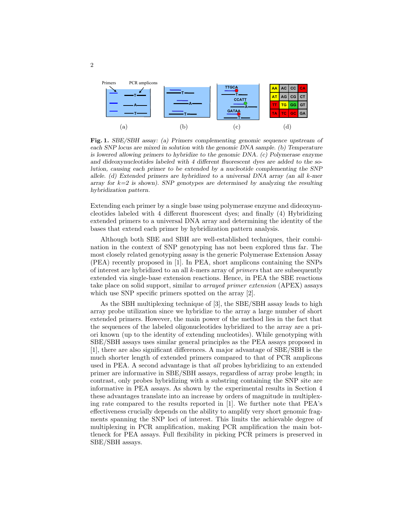

Fig. 1. SBE/SBH assay: (a) Primers complementing genomic sequence upstream of each SNP locus are mixed in solution with the genomic DNA sample. (b) Temperature is lowered allowing primers to hybridize to the genomic DNA. (c) Polymerase enzyme and dideoxynucleotides labeled with 4 different fluorescent dyes are added to the solution, causing each primer to be extended by a nucleotide complementing the SNP allele. (d) Extended primers are hybridized to a universal DNA array (an all k-mer array for  $k=2$  is shown). SNP genotypes are determined by analyzing the resulting hybridization pattern.

Extending each primer by a single base using polymerase enzyme and dideoxynucleotides labeled with 4 different fluorescent dyes; and finally (4) Hybridizing extended primers to a universal DNA array and determining the identity of the bases that extend each primer by hybridization pattern analysis.

Although both SBE and SBH are well-established techniques, their combination in the context of SNP genotyping has not been explored thus far. The most closely related genotyping assay is the generic Polymerase Extension Assay (PEA) recently proposed in [1]. In PEA, short amplicons containing the SNPs of interest are hybridized to an all  $k$ -mers array of *primers* that are subsequently extended via single-base extension reactions. Hence, in PEA the SBE reactions take place on solid support, similar to arrayed primer extension (APEX) assays which use SNP specific primers spotted on the array [2].

As the SBH multiplexing technique of [3], the SBE/SBH assay leads to high array probe utilization since we hybridize to the array a large number of short extended primers. However, the main power of the method lies in the fact that the sequences of the labeled oligonucleotides hybridized to the array are a priori known (up to the identity of extending nucleotides). While genotyping with SBE/SBH assays uses similar general principles as the PEA assays proposed in [1], there are also significant differences. A major advantage of SBE/SBH is the much shorter length of extended primers compared to that of PCR amplicons used in PEA. A second advantage is that all probes hybridizing to an extended primer are informative in SBE/SBH assays, regardless of array probe length; in contrast, only probes hybridizing with a substring containing the SNP site are informative in PEA assays. As shown by the experimental results in Section 4 these advantages translate into an increase by orders of magnitude in multiplexing rate compared to the results reported in [1]. We further note that PEA's effectiveness crucially depends on the ability to amplify very short genomic fragments spanning the SNP loci of interest. This limits the achievable degree of multiplexing in PCR amplification, making PCR amplification the main bottleneck for PEA assays. Full flexibility in picking PCR primers is preserved in SBE/SBH assays.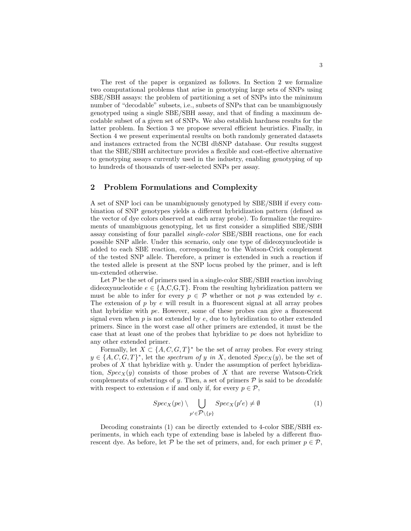The rest of the paper is organized as follows. In Section 2 we formalize two computational problems that arise in genotyping large sets of SNPs using SBE/SBH assays: the problem of partitioning a set of SNPs into the minimum number of "decodable" subsets, i.e., subsets of SNPs that can be unambiguously genotyped using a single SBE/SBH assay, and that of finding a maximum decodable subset of a given set of SNPs. We also establish hardness results for the latter problem. In Section 3 we propose several efficient heuristics. Finally, in Section 4 we present experimental results on both randomly generated datasets and instances extracted from the NCBI dbSNP database. Our results suggest that the SBE/SBH architecture provides a flexible and cost-effective alternative to genotyping assays currently used in the industry, enabling genotyping of up to hundreds of thousands of user-selected SNPs per assay.

## 2 Problem Formulations and Complexity

A set of SNP loci can be unambiguously genotyped by SBE/SBH if every combination of SNP genotypes yields a different hybridization pattern (defined as the vector of dye colors observed at each array probe). To formalize the requirements of unambiguous genotyping, let us first consider a simplified SBE/SBH assay consisting of four parallel single-color SBE/SBH reactions, one for each possible SNP allele. Under this scenario, only one type of dideoxynucleotide is added to each SBE reaction, corresponding to the Watson-Crick complement of the tested SNP allele. Therefore, a primer is extended in such a reaction if the tested allele is present at the SNP locus probed by the primer, and is left un-extended otherwise.

Let  $P$  be the set of primers used in a single-color SBE/SBH reaction involving dideoxynucleotide  $e \in \{A, C, G, T\}$ . From the resulting hybridization pattern we must be able to infer for every  $p \in \mathcal{P}$  whether or not p was extended by e. The extension of  $p$  by  $e$  will result in a fluorescent signal at all array probes that hybridize with pe. However, some of these probes can give a fluorescent signal even when  $p$  is not extended by  $e$ , due to hybridization to other extended primers. Since in the worst case all other primers are extended, it must be the case that at least one of the probes that hybridize to pe does not hybridize to any other extended primer.

Formally, let  $X \subset \{A, C, G, T\}^*$  be the set of array probes. For every string  $y \in \{A, C, G, T\}^*$ , let the spectrum of y in X, denoted  $Spec_X(y)$ , be the set of probes of  $X$  that hybridize with  $y$ . Under the assumption of perfect hybridization,  $Spec_X(y)$  consists of those probes of X that are reverse Watson-Crick complements of substrings of y. Then, a set of primers  $P$  is said to be *decodable* with respect to extension e if and only if, for every  $p \in \mathcal{P}$ ,

$$
Spec_X(pe) \setminus \bigcup_{p' \in \mathcal{P} \setminus \{p\}} Spec_X(p'e) \neq \emptyset
$$
 (1)

Decoding constraints (1) can be directly extended to 4-color SBE/SBH experiments, in which each type of extending base is labeled by a different fluorescent dye. As before, let P be the set of primers, and, for each primer  $p \in \mathcal{P}$ ,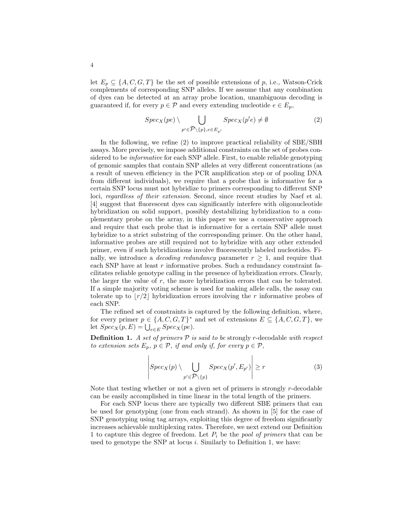let  $E_p \subseteq \{A, C, G, T\}$  be the set of possible extensions of p, i.e., Watson-Crick complements of corresponding SNP alleles. If we assume that any combination of dyes can be detected at an array probe location, unambiguous decoding is guaranteed if, for every  $p \in \mathcal{P}$  and every extending nucleotide  $e \in E_p$ ,

$$
Spec_X(pe) \setminus \bigcup_{p' \in \mathcal{P} \setminus \{p\}, e \in E_{p'}} Spec_X(p'e) \neq \emptyset
$$
 (2)

In the following, we refine (2) to improve practical reliability of SBE/SBH assays. More precisely, we impose additional constraints on the set of probes considered to be informative for each SNP allele. First, to enable reliable genotyping of genomic samples that contain SNP alleles at very different concentrations (as a result of uneven efficiency in the PCR amplification step or of pooling DNA from different individuals), we require that a probe that is informative for a certain SNP locus must not hybridize to primers corresponding to different SNP loci, *regardless of their extension*. Second, since recent studies by Naef et al. [4] suggest that fluorescent dyes can significantly interfere with oligonucleotide hybridization on solid support, possibly destabilizing hybridization to a complementary probe on the array, in this paper we use a conservative approach and require that each probe that is informative for a certain SNP allele must hybridize to a strict substring of the corresponding primer. On the other hand, informative probes are still required not to hybridize with any other extended primer, even if such hybridizations involve fluorescently labeled nucleotides. Finally, we introduce a *decoding redundancy* parameter  $r \geq 1$ , and require that each SNP have at least  $r$  informative probes. Such a redundancy constraint facilitates reliable genotype calling in the presence of hybridization errors. Clearly, the larger the value of r, the more hybridization errors that can be tolerated. If a simple majority voting scheme is used for making allele calls, the assay can tolerate up to  $|r/2|$  hybridization errors involving the r informative probes of each SNP.

The refined set of constraints is captured by the following definition, where, for every primer  $p \in \{A, C, G, T\}^*$  and set of extensions  $E \subseteq \{A, C, G, T\}$ , we let  $Spec_X(p, E) = \bigcup_{e \in E} Spec_X(pe)$ .

**Definition 1.** A set of primers  $P$  is said to be strongly r-decodable with respect to extension sets  $E_p$ ,  $p \in \mathcal{P}$ , if and only if, for every  $p \in \mathcal{P}$ ,

$$
\left| Spec_X(p) \setminus \bigcup_{p' \in \mathcal{P} \setminus \{p\}} Spec_X(p', E_{p'}) \right| \ge r \tag{3}
$$

Note that testing whether or not a given set of primers is strongly  $r$ -decodable can be easily accomplished in time linear in the total length of the primers.

For each SNP locus there are typically two different SBE primers that can be used for genotyping (one from each strand). As shown in [5] for the case of SNP genotyping using tag arrays, exploiting this degree of freedom significantly increases achievable multiplexing rates. Therefore, we next extend our Definition 1 to capture this degree of freedom. Let  $P_i$  be the pool of primers that can be used to genotype the SNP at locus  $i$ . Similarly to Definition 1, we have: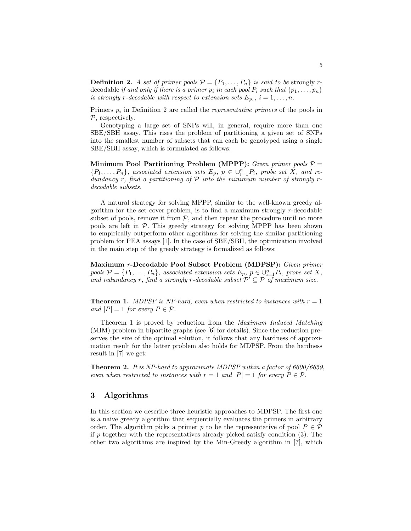**Definition 2.** A set of primer pools  $\mathcal{P} = \{P_1, \ldots, P_n\}$  is said to be strongly rdecodable if and only if there is a primer  $p_i$  in each pool  $P_i$  such that  $\{p_1, \ldots, p_n\}$ is strongly r-decodable with respect to extension sets  $E_{p_i}$ ,  $i = 1, \ldots, n$ .

Primers  $p_i$  in Definition 2 are called the *representative primers* of the pools in P, respectively.

Genotyping a large set of SNPs will, in general, require more than one SBE/SBH assay. This rises the problem of partitioning a given set of SNPs into the smallest number of subsets that can each be genotyped using a single SBE/SBH assay, which is formulated as follows:

Minimum Pool Partitioning Problem (MPPP): Given primer pools  $P =$  $\{P_1, \ldots, P_n\}$ , associated extension sets  $E_p$ ,  $p \in \bigcup_{i=1}^n P_i$ , probe set X, and redundancy r, find a partitioning of  $P$  into the minimum number of strongly rdecodable subsets.

A natural strategy for solving MPPP, similar to the well-known greedy algorithm for the set cover problem, is to find a maximum strongly  $r$ -decodable subset of pools, remove it from  $P$ , and then repeat the procedure until no more pools are left in  $\mathcal{P}$ . This greedy strategy for solving MPPP has been shown to empirically outperform other algorithms for solving the similar partitioning problem for PEA assays [1]. In the case of SBE/SBH, the optimization involved in the main step of the greedy strategy is formalized as follows:

Maximum r-Decodable Pool Subset Problem (MDPSP): Given primer pools  $P = \{P_1, \ldots, P_n\}$ , associated extension sets  $E_p$ ,  $p \in \bigcup_{i=1}^n P_i$ , probe set X, and redundancy r, find a strongly r-decodable subset  $\mathcal{P}' \subseteq \mathcal{P}$  of maximum size.

**Theorem 1.** MDPSP is NP-hard, even when restricted to instances with  $r = 1$ and  $|P| = 1$  for every  $P \in \mathcal{P}$ .

Theorem 1 is proved by reduction from the Maximum Induced Matching (MIM) problem in bipartite graphs (see [6] for details). Since the reduction preserves the size of the optimal solution, it follows that any hardness of approximation result for the latter problem also holds for MDPSP. From the hardness result in [7] we get:

Theorem 2. It is NP-hard to approximate MDPSP within a factor of 6600/6659, even when restricted to instances with  $r = 1$  and  $|P| = 1$  for every  $P \in \mathcal{P}$ .

#### 3 Algorithms

In this section we describe three heuristic approaches to MDPSP. The first one is a naive greedy algorithm that sequentially evaluates the primers in arbitrary order. The algorithm picks a primer p to be the representative of pool  $P \in \mathcal{P}$ if  $p$  together with the representatives already picked satisfy condition  $(3)$ . The other two algorithms are inspired by the Min-Greedy algorithm in [7], which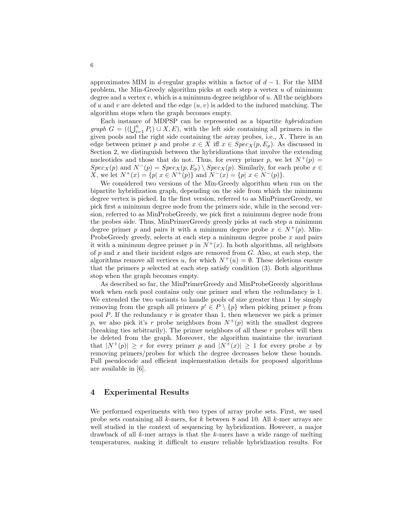approximates MIM in d-regular graphs within a factor of  $d-1$ . For the MIM problem, the Min-Greedy algorithm picks at each step a vertex  $u$  of minimum degree and a vertex  $v$ , which is a minimum degree neighbor of  $u$ . All the neighbors of u and v are deleted and the edge  $(u, v)$  is added to the induced matching. The algorithm stops when the graph becomes empty.

Each instance of MDPSP can be represented as a bipartite hybridization graph  $G = ((\bigcup_{i=1}^{n} P_i) \cup X, E)$ , with the left side containing all primers in the given pools and the right side containing the array probes, i.e.,  $X$ . There is an edge between primer p and probe  $x \in X$  iff  $x \in Spec_X(p,E_n)$ . As discussed in Section 2, we distinguish between the hybridizations that involve the extending nucleotides and those that do not. Thus, for every primer p, we let  $N^+(p)$  =  $Spec_X(p)$  and  $N^-(p) = Spec_X(p, E_p) \setminus Spec_X(p)$ . Similarly, for each probe  $x \in$ X, we let  $N^+(x) = \{p \mid x \in N^+(p)\}\$ and  $N^-(x) = \{p \mid x \in N^-(p)\}.$ 

We considered two versions of the Min-Greedy algorithm when run on the bipartite hybridization graph, depending on the side from which the minimum degree vertex is picked. In the first version, referred to as MinPrimerGreedy, we pick first a minimum degree node from the primers side, while in the second version, referred to as MinProbeGreedy, we pick first a minimum degree node from the probes side. Thus, MinPrimerGreedy greedy picks at each step a minimum degree primer p and pairs it with a minimum degree probe  $x \in N^+(p)$ . Min-ProbeGreedy greedy, selects at each step a minimum degree probe x and pairs it with a minimum degree primer p in  $N^+(x)$ . In both algorithms, all neighbors of p and x and their incident edges are removed from  $G$ . Also, at each step, the algorithms remove all vertices u, for which  $N^+(u) = \emptyset$ . These deletions ensure that the primers  $p$  selected at each step satisfy condition  $(3)$ . Both algorithms stop when the graph becomes empty.

As described so far, the MinPrimerGreedy and MinProbeGreedy algorithms work when each pool contains only one primer and when the redundancy is 1. We extended the two variants to handle pools of size greater than 1 by simply removing from the graph all primers  $p' \in P \setminus \{p\}$  when picking primer p from pool  $P$ . If the redundancy  $r$  is greater than 1, then whenever we pick a primer p, we also pick it's r probe neighbors from  $N^+(p)$  with the smallest degrees (breaking ties arbitrarily). The primer neighbors of all these  $r$  probes will then be deleted from the graph. Moreover, the algorithm maintains the invariant that  $|N^+(p)| \geq r$  for every primer p and  $|N^+(x)| \geq 1$  for every probe x by removing primers/probes for which the degree decreases below these bounds. Full pseudocode and efficient implementation details for proposed algorithms are available in [6].

### 4 Experimental Results

We performed experiments with two types of array probe sets. First, we used probe sets containing all  $k$ -mers, for k between 8 and 10. All  $k$ -mer arrays are well studied in the context of sequencing by hybridization. However, a major drawback of all  $k$ -mer arrays is that the  $k$ -mers have a wide range of melting temperatures, making it difficult to ensure reliable hybridization results. For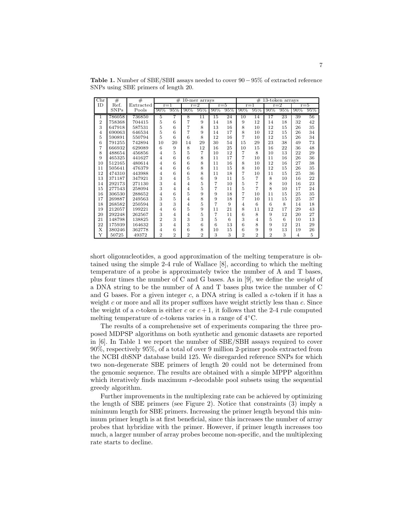Table 1. Number of SBE/SBH assays needed to cover 90 − 95% of extracted reference SNPs using SBE primers of length 20.

| $_{\rm Chr}$   | #           | #         | $\overline{10}$ -mer arrays<br># |                |                |                |                |     | $# 13$ -token arrays |                |                |     |                |                |
|----------------|-------------|-----------|----------------------------------|----------------|----------------|----------------|----------------|-----|----------------------|----------------|----------------|-----|----------------|----------------|
| ID             | Ref.        | Extracted | $r=1$                            |                | $r=2$          |                | $r = 5$        |     | $r = 1$              |                | $r=2$          |     | $r = 5$        |                |
|                | <b>SNPs</b> | Pools     | 90%                              | 95%            | $90\%$         | 95%            | 90%            | 95% | 90%                  | 95%            | 90%            | 95% | 90%            | 95%            |
| 1              | 786058      | 736850    | 5                                | 7              | 8              | 11             | 15             | 24  | 10                   | 14             | 17             | 23  | 39             | 56             |
| $\overline{2}$ | 758368      | 704415    | 5                                | 6              | 7              | 9              | 14             | 18  | 9                    | 12             | 14             | 18  | 32             | 42             |
| 3              | 647918      | 587531    | 5                                | 6              | 7              | 8              | 13             | 16  | 8                    | 10             | 12             | 15  | 26             | 35             |
| $\overline{4}$ | 690063      | 646534    | 5                                | 6              | 7              | 9              | 14             | 17  | 8                    | 10             | 12             | 15  | 26             | 34             |
| 5              | 590891      | 550794    | 5                                | 6              | 6              | 8              | 12             | 16  | 7                    | 10             | 12             | 15  | 26             | 34             |
| 6              | 791255      | 742894    | 10                               | 20             | 14             | 29             | 30             | 54  | 15                   | 29             | 23             | 38  | 49             | 73             |
| 7              | 666932      | 629089    | 6                                | 9              | 8              | 12             | 16             | 25  | 10                   | 15             | 16             | 22  | 36             | 48             |
| 8              | 488654      | 456856    | $\overline{4}$                   | 5              | 5              | 7              | 10             | 12  | 7                    | 8              | 10             | 13  | 22             | 29             |
| 9              | 465325      | 441627    | $\overline{4}$                   | 6              | 6              | 8              | 11             | 17  | 7                    | 10             | 11             | 16  | 26             | 36             |
| 10             | 512165      | 480614    | $\overline{4}$                   | 6              | 6              | 8              | 11             | 16  | 8                    | 10             | 12             | 16  | 27             | 38             |
| 11             | 505641      | 476379    | $\overline{4}$                   | 6              | 6              | 8              | 11             | 15  | 8                    | 10             | 12             | 15  | 26             | 35             |
| 12             | 474310      | 443988    | $\overline{4}$                   | 6              | 6              | 8              | 11             | 18  | $\overline{7}$       | 10             | 11             | 15  | 25             | 36             |
| 13             | 371187      | 347921    | 3                                | 4              | 5              | 6              | 9              | 11  | 5                    | 7              | 8              | 10  | 16             | 22             |
| 14             | 292173      | 271130    | 3                                | $\overline{4}$ | $\overline{4}$ | 5              | 7              | 10  | 5                    | 7              | 8              | 10  | 16             | 23             |
| 15             | 277543      | 258094    | 3                                | $\overline{4}$ | $\overline{4}$ | 5              | 7              | 11  | 5                    | 7              | 8              | 10  | 17             | 24             |
| 16             | 306530      | 288652    | $\overline{4}$                   | 6              | 5              | 9              | 9              | 18  | 7                    | 10             | 11             | 15  | 25             | 35             |
| 17             | 269887      | 249563    | 3                                | 5              | 4              | 8              | 9              | 18  | 7                    | 10             | 11             | 15  | 25             | 37             |
| 18             | 268582      | 250594    | 3                                | 3              | $\overline{4}$ | 5              | 7              | 9   | $\overline{4}$       | 6              | 6              | 8   | 14             | 18             |
| 19             | 212057      | 199221    | $\overline{4}$                   | 6              | 5              | 9              | 11             | 21  | 8                    | 11             | 12             | 17  | 29             | 43             |
| 20             | 292248      | 262567    | 3                                | 4              | 4              | 5              | $\overline{7}$ | 11  | 6                    | 8              | 9              | 12  | 20             | 27             |
| 21             | 148798      | 138825    | $\overline{2}$                   | 3              | 3              | 3              | 5              | 6   | 3                    | 4              | 5              | 6   | 10             | 13             |
| 22             | 175939      | 164632    | 3                                | 4              | 3              | 6              | 6              | 13  | 6                    | 8              | 9              | 12  | 21             | 29             |
| Х              | 380246      | 362778    | 4                                | 6              | 6              | 8              | 10             | 15  | 6                    | 9              | 9              | 13  | 19             | 26             |
| Y              | 50725       | 49372     | $\overline{2}$                   | $\overline{2}$ | $\overline{2}$ | $\overline{2}$ | 3              | 3   | $\overline{2}$       | $\overline{2}$ | $\overline{2}$ | 3   | $\overline{4}$ | $\overline{5}$ |

short oligonucleotides, a good approximation of the melting temperature is obtained using the simple 2-4 rule of Wallace [8], according to which the melting temperature of a probe is approximately twice the number of A and T bases, plus four times the number of C and G bases. As in [9], we define the weight of a DNA string to be the number of A and T bases plus twice the number of C and G bases. For a given integer  $c$ , a DNA string is called a  $c$ -token if it has a weight  $c$  or more and all its proper suffixes have weight strictly less than  $c$ . Since the weight of a c-token is either c or  $c + 1$ , it follows that the 2-4 rule computed melting temperature of c-tokens varies in a range of  $4^{\circ}$ C.

The results of a comprehensive set of experiments comparing the three proposed MDPSP algorithms on both synthetic and genomic datasets are reported in [6]. In Table 1 we report the number of SBE/SBH assays required to cover 90%, respectively 95%, of a total of over 9 million 2-primer pools extracted from the NCBI dbSNP database build 125. We disregarded reference SNPs for which two non-degenerate SBE primers of length 20 could not be determined from the genomic sequence. The results are obtained with a simple MPPP algorithm which iteratively finds maximum  $r$ -decodable pool subsets using the sequential greedy algorithm.

Further improvements in the multiplexing rate can be achieved by optimizing the length of SBE primers (see Figure 2). Notice that constraints (3) imply a minimum length for SBE primers. Increasing the primer length beyond this minimum primer length is at first beneficial, since this increases the number of array probes that hybridize with the primer. However, if primer length increases too much, a larger number of array probes become non-specific, and the multiplexing rate starts to decline.